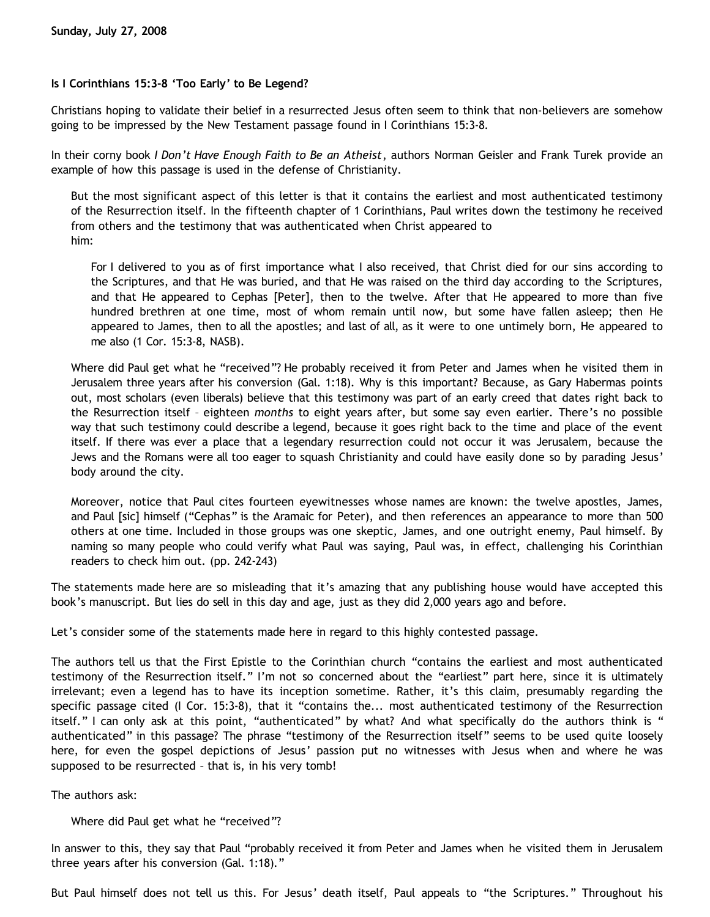## **Is I Corinthians 15:3-8 'Too Early' to Be Legend?**

Christians hoping to validate their belief in a resurrected Jesus often seem to think that non-believers are somehow going to be impressed by the New Testament passage found in I Corinthians 15:3-8.

In their corny book *I Don't Have Enough Faith to Be an Atheist*, authors Norman Geisler and Frank Turek provide an example of how this passage is used in the defense of Christianity.

But the most significant aspect of this letter is that it contains the earliest and most authenticated testimony of the Resurrection itself. In the fifteenth chapter of 1 Corinthians, Paul writes down the testimony he received from others and the testimony that was authenticated when Christ appeared to him:

For I delivered to you as of first importance what I also received, that Christ died for our sins according to the Scriptures, and that He was buried, and that He was raised on the third day according to the Scriptures, and that He appeared to Cephas [Peter], then to the twelve. After that He appeared to more than five hundred brethren at one time, most of whom remain until now, but some have fallen asleep; then He appeared to James, then to all the apostles; and last of all, as it were to one untimely born, He appeared to me also (1 Cor. 15:3-8, NASB).

Where did Paul get what he "received"? He probably received it from Peter and James when he visited them in Jerusalem three years after his conversion (Gal. 1:18). Why is this important? Because, as Gary Habermas points out, most scholars (even liberals) believe that this testimony was part of an early creed that dates right back to the Resurrection itself – eighteen *months* to eight years after, but some say even earlier. There's no possible way that such testimony could describe a legend, because it goes right back to the time and place of the event itself. If there was ever a place that a legendary resurrection could not occur it was Jerusalem, because the Jews and the Romans were all too eager to squash Christianity and could have easily done so by parading Jesus' body around the city.

Moreover, notice that Paul cites fourteen eyewitnesses whose names are known: the twelve apostles, James, and Paul [sic] himself ("Cephas" is the Aramaic for Peter), and then references an appearance to more than 500 others at one time. Included in those groups was one skeptic, James, and one outright enemy, Paul himself. By naming so many people who could verify what Paul was saying, Paul was, in effect, challenging his Corinthian readers to check him out. (pp. 242-243)

The statements made here are so misleading that it's amazing that any publishing house would have accepted this book's manuscript. But lies do sell in this day and age, just as they did 2,000 years ago and before.

Let's consider some of the statements made here in regard to this highly contested passage.

The authors tell us that the First Epistle to the Corinthian church "contains the earliest and most authenticated testimony of the Resurrection itself." I'm not so concerned about the "earliest" part here, since it is ultimately irrelevant; even a legend has to have its inception sometime. Rather, it's this claim, presumably regarding the specific passage cited (I Cor. 15:3-8), that it "contains the... most authenticated testimony of the Resurrection itself." I can only ask at this point, "authenticated" by what? And what specifically do the authors think is " authenticated" in this passage? The phrase "testimony of the Resurrection itself" seems to be used quite loosely here, for even the gospel depictions of Jesus' passion put no witnesses with Jesus when and where he was supposed to be resurrected – that is, in his very tomb!

The authors ask:

Where did Paul get what he "received"?

In answer to this, they say that Paul "probably received it from Peter and James when he visited them in Jerusalem three years after his conversion (Gal. 1:18)."

But Paul himself does not tell us this. For Jesus' death itself, Paul appeals to "the Scriptures." Throughout his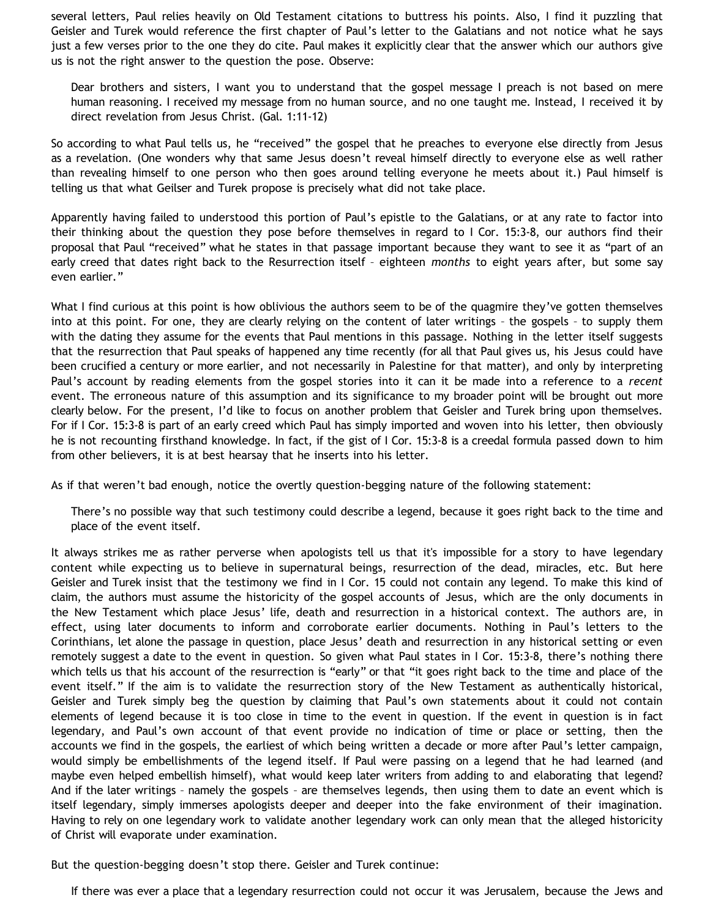several letters, Paul relies heavily on Old Testament citations to buttress his points. Also, I find it puzzling that Geisler and Turek would reference the first chapter of Paul's letter to the Galatians and not notice what he says just a few verses prior to the one they do cite. Paul makes it explicitly clear that the answer which our authors give us is not the right answer to the question the pose. Observe:

Dear brothers and sisters, I want you to understand that the gospel message I preach is not based on mere human reasoning. I received my message from no human source, and no one taught me. Instead, I received it by direct revelation from Jesus Christ. (Gal. 1:11-12)

So according to what Paul tells us, he "received" the gospel that he preaches to everyone else directly from Jesus as a revelation. (One wonders why that same Jesus doesn't reveal himself directly to everyone else as well rather than revealing himself to one person who then goes around telling everyone he meets about it.) Paul himself is telling us that what Geilser and Turek propose is precisely what did not take place.

Apparently having failed to understood this portion of Paul's epistle to the Galatians, or at any rate to factor into their thinking about the question they pose before themselves in regard to I Cor. 15:3-8, our authors find their proposal that Paul "received" what he states in that passage important because they want to see it as "part of an early creed that dates right back to the Resurrection itself – eighteen *months* to eight years after, but some say even earlier."

What I find curious at this point is how oblivious the authors seem to be of the quagmire they've gotten themselves into at this point. For one, they are clearly relying on the content of later writings – the gospels – to supply them with the dating they assume for the events that Paul mentions in this passage. Nothing in the letter itself suggests that the resurrection that Paul speaks of happened any time recently (for all that Paul gives us, his Jesus could have been crucified a century or more earlier, and not necessarily in Palestine for that matter), and only by interpreting Paul's account by reading elements from the gospel stories into it can it be made into a reference to a *recent* event. The erroneous nature of this assumption and its significance to my broader point will be brought out more clearly below. For the present, I'd like to focus on another problem that Geisler and Turek bring upon themselves. For if I Cor. 15:3-8 is part of an early creed which Paul has simply imported and woven into his letter, then obviously he is not recounting firsthand knowledge. In fact, if the gist of I Cor. 15:3-8 is a creedal formula passed down to him from other believers, it is at best hearsay that he inserts into his letter.

As if that weren't bad enough, notice the overtly question-begging nature of the following statement:

There's no possible way that such testimony could describe a legend, because it goes right back to the time and place of the event itself.

It always strikes me as rather perverse when apologists tell us that it's impossible for a story to have legendary content while expecting us to believe in supernatural beings, resurrection of the dead, miracles, etc. But here Geisler and Turek insist that the testimony we find in I Cor. 15 could not contain any legend. To make this kind of claim, the authors must assume the historicity of the gospel accounts of Jesus, which are the only documents in the New Testament which place Jesus' life, death and resurrection in a historical context. The authors are, in effect, using later documents to inform and corroborate earlier documents. Nothing in Paul's letters to the Corinthians, let alone the passage in question, place Jesus' death and resurrection in any historical setting or even remotely suggest a date to the event in question. So given what Paul states in I Cor. 15:3-8, there's nothing there which tells us that his account of the resurrection is "early" or that "it goes right back to the time and place of the event itself." If the aim is to validate the resurrection story of the New Testament as authentically historical, Geisler and Turek simply beg the question by claiming that Paul's own statements about it could not contain elements of legend because it is too close in time to the event in question. If the event in question is in fact legendary, and Paul's own account of that event provide no indication of time or place or setting, then the accounts we find in the gospels, the earliest of which being written a decade or more after Paul's letter campaign, would simply be embellishments of the legend itself. If Paul were passing on a legend that he had learned (and maybe even helped embellish himself), what would keep later writers from adding to and elaborating that legend? And if the later writings – namely the gospels – are themselves legends, then using them to date an event which is itself legendary, simply immerses apologists deeper and deeper into the fake environment of their imagination. Having to rely on one legendary work to validate another legendary work can only mean that the alleged historicity of Christ will evaporate under examination.

But the question-begging doesn't stop there. Geisler and Turek continue:

If there was ever a place that a legendary resurrection could not occur it was Jerusalem, because the Jews and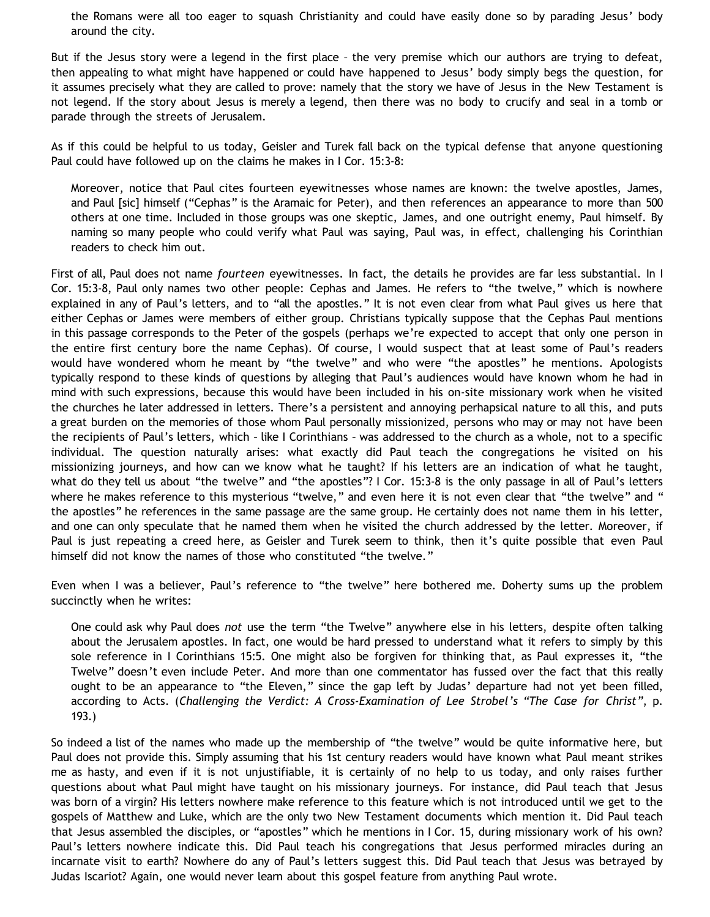the Romans were all too eager to squash Christianity and could have easily done so by parading Jesus' body around the city.

But if the Jesus story were a legend in the first place – the very premise which our authors are trying to defeat, then appealing to what might have happened or could have happened to Jesus' body simply begs the question, for it assumes precisely what they are called to prove: namely that the story we have of Jesus in the New Testament is not legend. If the story about Jesus is merely a legend, then there was no body to crucify and seal in a tomb or parade through the streets of Jerusalem.

As if this could be helpful to us today, Geisler and Turek fall back on the typical defense that anyone questioning Paul could have followed up on the claims he makes in I Cor. 15:3-8:

Moreover, notice that Paul cites fourteen eyewitnesses whose names are known: the twelve apostles, James, and Paul [sic] himself ("Cephas" is the Aramaic for Peter), and then references an appearance to more than 500 others at one time. Included in those groups was one skeptic, James, and one outright enemy, Paul himself. By naming so many people who could verify what Paul was saying, Paul was, in effect, challenging his Corinthian readers to check him out.

First of all, Paul does not name *fourteen* eyewitnesses. In fact, the details he provides are far less substantial. In I Cor. 15:3-8, Paul only names two other people: Cephas and James. He refers to "the twelve," which is nowhere explained in any of Paul's letters, and to "all the apostles." It is not even clear from what Paul gives us here that either Cephas or James were members of either group. Christians typically suppose that the Cephas Paul mentions in this passage corresponds to the Peter of the gospels (perhaps we're expected to accept that only one person in the entire first century bore the name Cephas). Of course, I would suspect that at least some of Paul's readers would have wondered whom he meant by "the twelve" and who were "the apostles" he mentions. Apologists typically respond to these kinds of questions by alleging that Paul's audiences would have known whom he had in mind with such expressions, because this would have been included in his on-site missionary work when he visited the churches he later addressed in letters. There's a persistent and annoying perhapsical nature to all this, and puts a great burden on the memories of those whom Paul personally missionized, persons who may or may not have been the recipients of Paul's letters, which – like I Corinthians – was addressed to the church as a whole, not to a specific individual. The question naturally arises: what exactly did Paul teach the congregations he visited on his missionizing journeys, and how can we know what he taught? If his letters are an indication of what he taught, what do they tell us about "the twelve" and "the apostles"? I Cor. 15:3-8 is the only passage in all of Paul's letters where he makes reference to this mysterious "twelve," and even here it is not even clear that "the twelve" and " the apostles" he references in the same passage are the same group. He certainly does not name them in his letter, and one can only speculate that he named them when he visited the church addressed by the letter. Moreover, if Paul is just repeating a creed here, as Geisler and Turek seem to think, then it's quite possible that even Paul himself did not know the names of those who constituted "the twelve."

Even when I was a believer, Paul's reference to "the twelve" here bothered me. Doherty sums up the problem succinctly when he writes:

One could ask why Paul does *not* use the term "the Twelve" anywhere else in his letters, despite often talking about the Jerusalem apostles. In fact, one would be hard pressed to understand what it refers to simply by this sole reference in I Corinthians 15:5. One might also be forgiven for thinking that, as Paul expresses it, "the Twelve" doesn't even include Peter. And more than one commentator has fussed over the fact that this really ought to be an appearance to "the Eleven," since the gap left by Judas' departure had not yet been filled, according to Acts. (*Challenging the Verdict: A Cross-Examination of Lee Strobel's "The Case for Christ"*, p. 193.)

So indeed a list of the names who made up the membership of "the twelve" would be quite informative here, but Paul does not provide this. Simply assuming that his 1st century readers would have known what Paul meant strikes me as hasty, and even if it is not unjustifiable, it is certainly of no help to us today, and only raises further questions about what Paul might have taught on his missionary journeys. For instance, did Paul teach that Jesus was born of a virgin? His letters nowhere make reference to this feature which is not introduced until we get to the gospels of Matthew and Luke, which are the only two New Testament documents which mention it. Did Paul teach that Jesus assembled the disciples, or "apostles" which he mentions in I Cor. 15, during missionary work of his own? Paul's letters nowhere indicate this. Did Paul teach his congregations that Jesus performed miracles during an incarnate visit to earth? Nowhere do any of Paul's letters suggest this. Did Paul teach that Jesus was betrayed by Judas Iscariot? Again, one would never learn about this gospel feature from anything Paul wrote.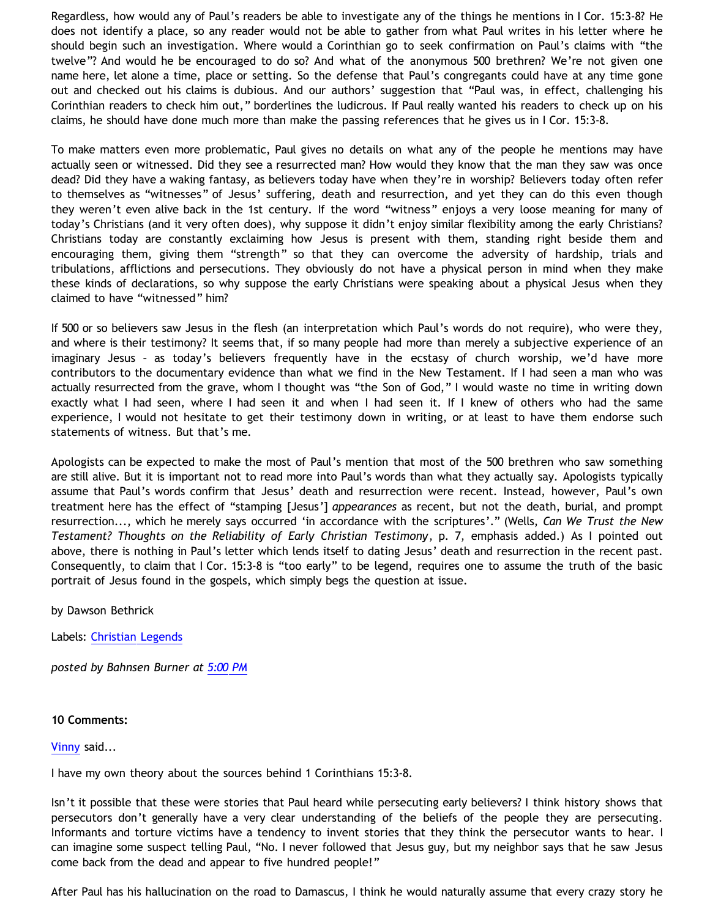Regardless, how would any of Paul's readers be able to investigate any of the things he mentions in I Cor. 15:3-8? He does not identify a place, so any reader would not be able to gather from what Paul writes in his letter where he should begin such an investigation. Where would a Corinthian go to seek confirmation on Paul's claims with "the twelve"? And would he be encouraged to do so? And what of the anonymous 500 brethren? We're not given one name here, let alone a time, place or setting. So the defense that Paul's congregants could have at any time gone out and checked out his claims is dubious. And our authors' suggestion that "Paul was, in effect, challenging his Corinthian readers to check him out," borderlines the ludicrous. If Paul really wanted his readers to check up on his claims, he should have done much more than make the passing references that he gives us in I Cor. 15:3-8.

To make matters even more problematic, Paul gives no details on what any of the people he mentions may have actually seen or witnessed. Did they see a resurrected man? How would they know that the man they saw was once dead? Did they have a waking fantasy, as believers today have when they're in worship? Believers today often refer to themselves as "witnesses" of Jesus' suffering, death and resurrection, and yet they can do this even though they weren't even alive back in the 1st century. If the word "witness" enjoys a very loose meaning for many of today's Christians (and it very often does), why suppose it didn't enjoy similar flexibility among the early Christians? Christians today are constantly exclaiming how Jesus is present with them, standing right beside them and encouraging them, giving them "strength" so that they can overcome the adversity of hardship, trials and tribulations, afflictions and persecutions. They obviously do not have a physical person in mind when they make these kinds of declarations, so why suppose the early Christians were speaking about a physical Jesus when they claimed to have "witnessed" him?

If 500 or so believers saw Jesus in the flesh (an interpretation which Paul's words do not require), who were they, and where is their testimony? It seems that, if so many people had more than merely a subjective experience of an imaginary Jesus – as today's believers frequently have in the ecstasy of church worship, we'd have more contributors to the documentary evidence than what we find in the New Testament. If I had seen a man who was actually resurrected from the grave, whom I thought was "the Son of God," I would waste no time in writing down exactly what I had seen, where I had seen it and when I had seen it. If I knew of others who had the same experience, I would not hesitate to get their testimony down in writing, or at least to have them endorse such statements of witness. But that's me.

Apologists can be expected to make the most of Paul's mention that most of the 500 brethren who saw something are still alive. But it is important not to read more into Paul's words than what they actually say. Apologists typically assume that Paul's words confirm that Jesus' death and resurrection were recent. Instead, however, Paul's own treatment here has the effect of "stamping [Jesus'] *appearances* as recent, but not the death, burial, and prompt resurrection..., which he merely says occurred 'in accordance with the scriptures'." (Wells, *Can We Trust the New Testament? Thoughts on the Reliability of Early Christian Testimony*, p. 7, emphasis added.) As I pointed out above, there is nothing in Paul's letter which lends itself to dating Jesus' death and resurrection in the recent past. Consequently, to claim that I Cor. 15:3-8 is "too early" to be legend, requires one to assume the truth of the basic portrait of Jesus found in the gospels, which simply begs the question at issue.

by Dawson Bethrick

Labels: [Christian Legends](http://bahnsenburner.blogspot.com/search/label/Christian%20Legends)

*posted by Bahnsen Burner at [5:00 PM](http://bahnsenburner.blogspot.com/2008/07/is-i-corinthians-153-8-too-early-to-be.html)*

**10 Comments:**

[Vinny](http://www.blogger.com/profile/08955726889682177434) said...

I have my own theory about the sources behind 1 Corinthians 15:3-8.

Isn't it possible that these were stories that Paul heard while persecuting early believers? I think history shows that persecutors don't generally have a very clear understanding of the beliefs of the people they are persecuting. Informants and torture victims have a tendency to invent stories that they think the persecutor wants to hear. I can imagine some suspect telling Paul, "No. I never followed that Jesus guy, but my neighbor says that he saw Jesus come back from the dead and appear to five hundred people!"

After Paul has his hallucination on the road to Damascus, I think he would naturally assume that every crazy story he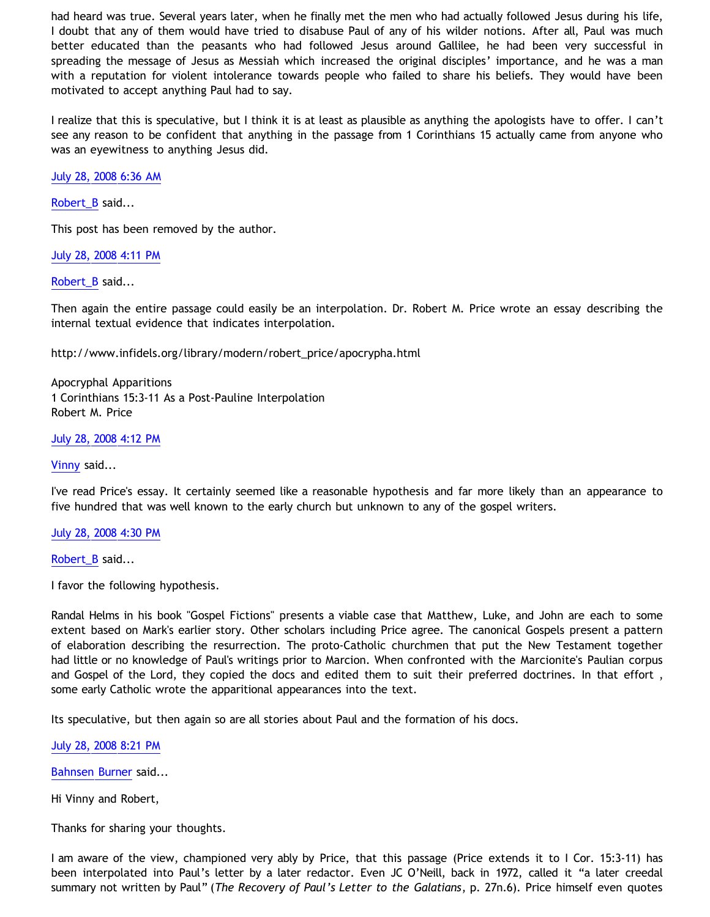had heard was true. Several years later, when he finally met the men who had actually followed Jesus during his life, I doubt that any of them would have tried to disabuse Paul of any of his wilder notions. After all, Paul was much better educated than the peasants who had followed Jesus around Gallilee, he had been very successful in spreading the message of Jesus as Messiah which increased the original disciples' importance, and he was a man with a reputation for violent intolerance towards people who failed to share his beliefs. They would have been motivated to accept anything Paul had to say.

I realize that this is speculative, but I think it is at least as plausible as anything the apologists have to offer. I can't see any reason to be confident that anything in the passage from 1 Corinthians 15 actually came from anyone who was an eyewitness to anything Jesus did.

[July 28, 2008 6:36 AM](http://bahnsenburner.blogspot.com/2008/07/3678879293387277601)

[Robert\\_B](http://www.blogger.com/profile/03469718358131331499) said...

This post has been removed by the author.

[July 28, 2008 4:11 PM](http://bahnsenburner.blogspot.com/2008/07/6337009691770238767)

[Robert\\_B](http://www.blogger.com/profile/03469718358131331499) said...

Then again the entire passage could easily be an interpolation. Dr. Robert M. Price wrote an essay describing the internal textual evidence that indicates interpolation.

[http://www.infidels.org/library/modern/robert\\_price/apocrypha.html](http://www.infidels.org/library/modern/robert_price/apocrypha.html)

Apocryphal Apparitions 1 Corinthians 15:3-11 As a Post-Pauline Interpolation Robert M. Price

[July 28, 2008 4:12 PM](http://bahnsenburner.blogspot.com/2008/07/4422651917703825748)

[Vinny](http://www.blogger.com/profile/08955726889682177434) said...

I've read Price's essay. It certainly seemed like a reasonable hypothesis and far more likely than an appearance to five hundred that was well known to the early church but unknown to any of the gospel writers.

[July 28, 2008 4:30 PM](http://bahnsenburner.blogspot.com/2008/07/7366031681412426317)

[Robert\\_B](http://www.blogger.com/profile/03469718358131331499) said...

I favor the following hypothesis.

Randal Helms in his book "Gospel Fictions" presents a viable case that Matthew, Luke, and John are each to some extent based on Mark's earlier story. Other scholars including Price agree. The canonical Gospels present a pattern of elaboration describing the resurrection. The proto-Catholic churchmen that put the New Testament together had little or no knowledge of Paul's writings prior to Marcion. When confronted with the Marcionite's Paulian corpus and Gospel of the Lord, they copied the docs and edited them to suit their preferred doctrines. In that effort , some early Catholic wrote the apparitional appearances into the text.

Its speculative, but then again so are all stories about Paul and the formation of his docs.

[July 28, 2008 8:21 PM](http://bahnsenburner.blogspot.com/2008/07/306609149577501692)

[Bahnsen Burner](http://www.blogger.com/profile/11030029491768748360) said...

Hi Vinny and Robert,

Thanks for sharing your thoughts.

I am aware of the view, championed very ably by Price, that this passage (Price extends it to I Cor. 15:3-11) has been interpolated into Paul's letter by a later redactor. Even JC O'Neill, back in 1972, called it "a later creedal summary not written by Paul" (*The Recovery of Paul's Letter to the Galatians*, p. 27n.6). Price himself even quotes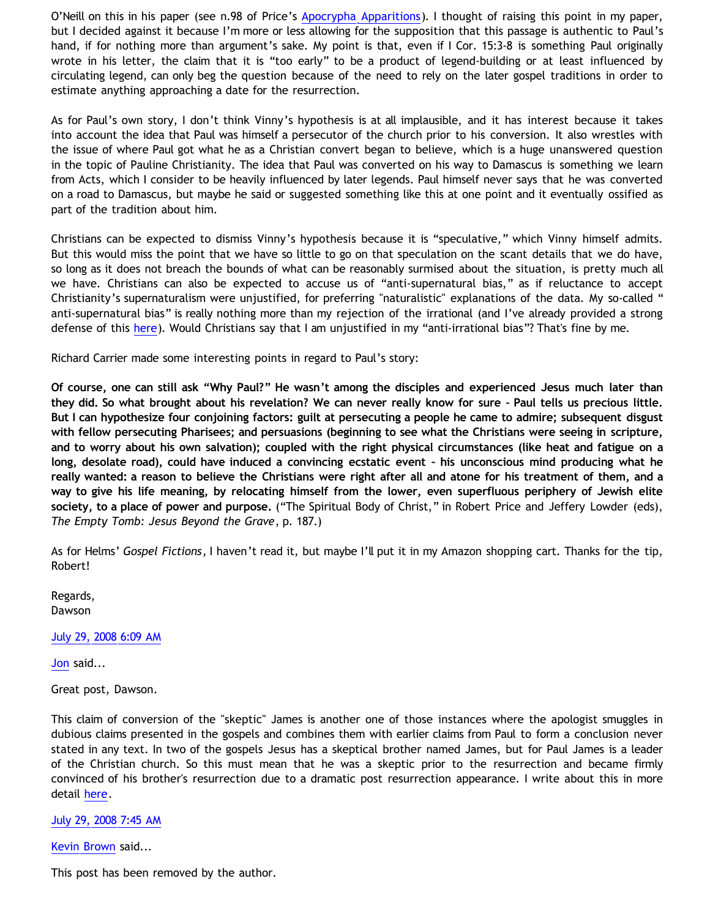O'Neill on this in his paper (see n.98 of Price's [Apocrypha Apparitions\)](http://www.infidels.org/library/modern/robert_price/apocrypha.html). I thought of raising this point in my paper, but I decided against it because I'm more or less allowing for the supposition that this passage is authentic to Paul's hand, if for nothing more than argument's sake. My point is that, even if I Cor. 15:3-8 is something Paul originally wrote in his letter, the claim that it is "too early" to be a product of legend-building or at least influenced by circulating legend, can only beg the question because of the need to rely on the later gospel traditions in order to estimate anything approaching a date for the resurrection.

As for Paul's own story, I don't think Vinny's hypothesis is at all implausible, and it has interest because it takes into account the idea that Paul was himself a persecutor of the church prior to his conversion. It also wrestles with the issue of where Paul got what he as a Christian convert began to believe, which is a huge unanswered question in the topic of Pauline Christianity. The idea that Paul was converted on his way to Damascus is something we learn from Acts, which I consider to be heavily influenced by later legends. Paul himself never says that he was converted on a road to Damascus, but maybe he said or suggested something like this at one point and it eventually ossified as part of the tradition about him.

Christians can be expected to dismiss Vinny's hypothesis because it is "speculative," which Vinny himself admits. But this would miss the point that we have so little to go on that speculation on the scant details that we do have, so long as it does not breach the bounds of what can be reasonably surmised about the situation, is pretty much all we have. Christians can also be expected to accuse us of "anti-supernatural bias," as if reluctance to accept Christianity's supernaturalism were unjustified, for preferring "naturalistic" explanations of the data. My so-called " anti-supernatural bias" is really nothing more than my rejection of the irrational (and I've already provided a strong defense of this [here](http://www.geocities.com/katholon/Bahnsen_Supernatural.htm)). Would Christians say that I am unjustified in my "anti-irrational bias"? That's fine by me.

Richard Carrier made some interesting points in regard to Paul's story:

**Of course, one can still ask "Why Paul?" He wasn't among the disciples and experienced Jesus much later than they did. So what brought about his revelation? We can never really know for sure – Paul tells us precious little. But I can hypothesize four conjoining factors: guilt at persecuting a people he came to admire; subsequent disgust with fellow persecuting Pharisees; and persuasions (beginning to see what the Christians were seeing in scripture, and to worry about his own salvation); coupled with the right physical circumstances (like heat and fatigue on a long, desolate road), could have induced a convincing ecstatic event – his unconscious mind producing what he really wanted: a reason to believe the Christians were right after all and atone for his treatment of them, and a way to give his life meaning, by relocating himself from the lower, even superfluous periphery of Jewish elite society, to a place of power and purpose.** ("The Spiritual Body of Christ," in Robert Price and Jeffery Lowder (eds), *The Empty Tomb: Jesus Beyond the Grave*, p. 187.)

As for Helms' *Gospel Fictions*, I haven't read it, but maybe I'll put it in my Amazon shopping cart. Thanks for the tip, Robert!

Regards, Dawson

[July 29, 2008 6:09 AM](http://bahnsenburner.blogspot.com/2008/07/7018783467545824981)

[Jon](http://www.blogger.com/profile/10530680372103907969) said...

Great post, Dawson.

This claim of conversion of the "skeptic" James is another one of those instances where the apologist smuggles in dubious claims presented in the gospels and combines them with earlier claims from Paul to form a conclusion never stated in any text. In two of the gospels Jesus has a skeptical brother named James, but for Paul James is a leader of the Christian church. So this must mean that he was a skeptic prior to the resurrection and became firmly convinced of his brother's resurrection due to a dramatic post resurrection appearance. I write about this in more detail [here](http://bigwhiteogre.blogspot.com/2008/07/fact-4-conversion-of-skeptic-james.html).

[July 29, 2008 7:45 AM](http://bahnsenburner.blogspot.com/2008/07/7874973402852763907)

[Kevin Brown](http://www.blogger.com/profile/04581136429971160522) said...

This post has been removed by the author.